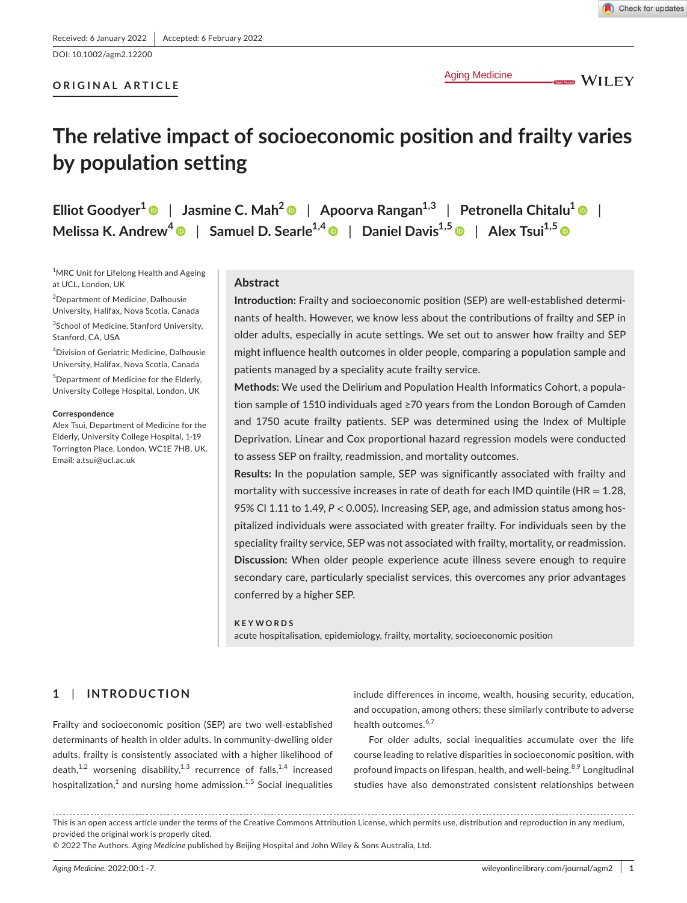DOI: 10.1002/agm2.12200

## **ORIGINAL ARTICLE**

**Aging Medicine** 

**OPENACCES** WILEY

# **The relative impact of socioeconomic position and frailty varies by population setting**

**Elliot Goodyer<sup>1</sup>** | **Jasmine C. Mah[2](https://orcid.org/0000-0003-4391-4286)** | **Apoorva Rangan1,3** | **Petronella Chitalu<sup>1</sup>** | **Melissa K. Andrew[4](https://orcid.org/0000-0001-7514-8972)** | **Samuel D. Searle1,4** | **Daniel Davis1,[5](https://orcid.org/0000-0002-1560-1955)** | **Alex Tsui1,[5](https://orcid.org/0000-0001-6435-5968)**

<sup>1</sup>MRC Unit for Lifelong Health and Ageing at UCL, London, UK

2 Department of Medicine, Dalhousie University, Halifax, Nova Scotia, Canada

<sup>3</sup>School of Medicine, Stanford University, Stanford, CA, USA

4 Division of Geriatric Medicine, Dalhousie University, Halifax, Nova Scotia, Canada

5 Department of Medicine for the Elderly, University College Hospital, London, UK

#### **Correspondence**

Alex Tsui, Department of Medicine for the Elderly, University College Hospital, 1-19 Torrington Place, London, WC1E 7HB, UK. Email: [a.tsui@ucl.ac.uk](mailto:a.tsui@ucl.ac.uk)

#### **Abstract**

**Introduction:** Frailty and socioeconomic position (SEP) are well-established determinants of health. However, we know less about the contributions of frailty and SEP in older adults, especially in acute settings. We set out to answer how frailty and SEP might influence health outcomes in older people, comparing a population sample and patients managed by a speciality acute frailty service.

**Methods:** We used the Delirium and Population Health Informatics Cohort, a population sample of 1510 individuals aged ≥70 years from the London Borough of Camden and 1750 acute frailty patients. SEP was determined using the Index of Multiple Deprivation. Linear and Cox proportional hazard regression models were conducted to assess SEP on frailty, readmission, and mortality outcomes.

**Results:** In the population sample, SEP was significantly associated with frailty and mortality with successive increases in rate of death for each IMD quintile (HR =  $1.28$ , 95% CI 1.11 to 1.49, *P* < 0.005). Increasing SEP, age, and admission status among hospitalized individuals were associated with greater frailty. For individuals seen by the speciality frailty service, SEP was not associated with frailty, mortality, or readmission. **Discussion:** When older people experience acute illness severe enough to require secondary care, particularly specialist services, this overcomes any prior advantages conferred by a higher SEP.

#### **KEYWORDS**

acute hospitalisation, epidemiology, frailty, mortality, socioeconomic position

# **1**  | **INTRODUCTION**

Frailty and socioeconomic position (SEP) are two well-established determinants of health in older adults. In community-dwelling older adults, frailty is consistently associated with a higher likelihood of death,<sup>1,2</sup> worsening disability,<sup>1,3</sup> recurrence of falls,<sup>1,4</sup> increased hospitalization, $^1$  and nursing home admission. $^{1,5}$  Social inequalities include differences in income, wealth, housing security, education, and occupation, among others; these similarly contribute to adverse health outcomes.<sup>6,7</sup>

For older adults, social inequalities accumulate over the life course leading to relative disparities in socioeconomic position, with profound impacts on lifespan, health, and well-being.<sup>8,9</sup> Longitudinal studies have also demonstrated consistent relationships between

This is an open access article under the terms of the [Creative Commons Attribution](http://creativecommons.org/licenses/by/4.0/) License, which permits use, distribution and reproduction in any medium, provided the original work is properly cited.

<sup>© 2022</sup> The Authors. *Aging Medicine* published by Beijing Hospital and John Wiley & Sons Australia, Ltd.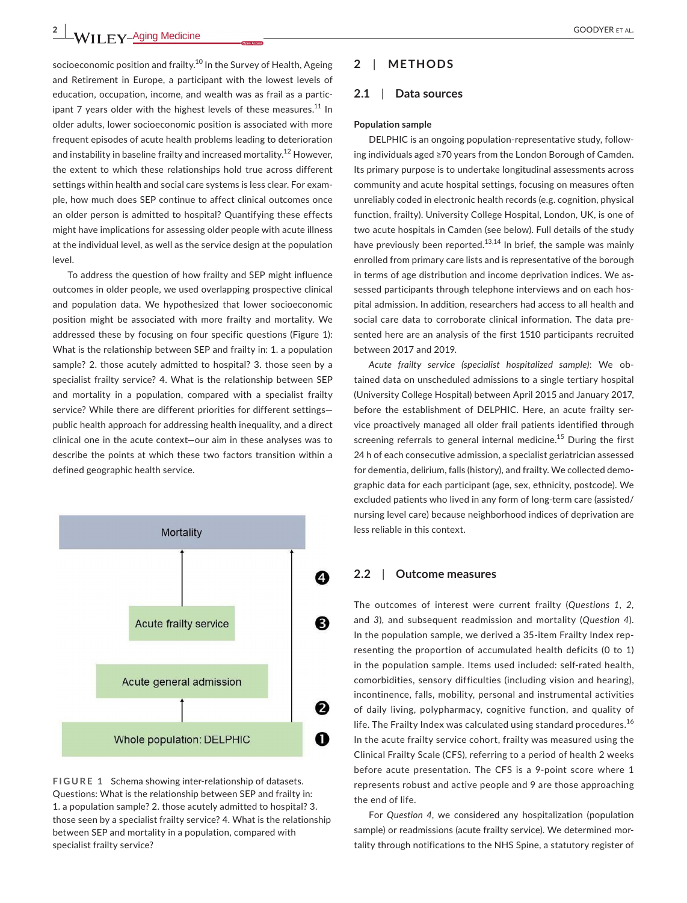socioeconomic position and frailty.<sup>10</sup> In the Survey of Health, Ageing and Retirement in Europe, a participant with the lowest levels of education, occupation, income, and wealth was as frail as a participant 7 years older with the highest levels of these measures. $^{11}$  In older adults, lower socioeconomic position is associated with more frequent episodes of acute health problems leading to deterioration and instability in baseline frailty and increased mortality.<sup>12</sup> However, the extent to which these relationships hold true across different settings within health and social care systems is less clear. For example, how much does SEP continue to affect clinical outcomes once an older person is admitted to hospital? Quantifying these effects might have implications for assessing older people with acute illness at the individual level, as well as the service design at the population level.

To address the question of how frailty and SEP might influence outcomes in older people, we used overlapping prospective clinical and population data. We hypothesized that lower socioeconomic position might be associated with more frailty and mortality. We addressed these by focusing on four specific questions (Figure 1): What is the relationship between SEP and frailty in: 1. a population sample? 2. those acutely admitted to hospital? 3. those seen by a specialist frailty service? 4. What is the relationship between SEP and mortality in a population, compared with a specialist frailty service? While there are different priorities for different settings public health approach for addressing health inequality, and a direct clinical one in the acute context—our aim in these analyses was to describe the points at which these two factors transition within a defined geographic health service.



**FIGURE 1** Schema showing inter-relationship of datasets. Questions: What is the relationship between SEP and frailty in: 1. a population sample? 2. those acutely admitted to hospital? 3. those seen by a specialist frailty service? 4. What is the relationship between SEP and mortality in a population, compared with specialist frailty service?

## **2**  | **METHODS**

## **2.1**  | **Data sources**

#### **Population sample**

DELPHIC is an ongoing population-representative study, following individuals aged ≥70 years from the London Borough of Camden. Its primary purpose is to undertake longitudinal assessments across community and acute hospital settings, focusing on measures often unreliably coded in electronic health records (e.g. cognition, physical function, frailty). University College Hospital, London, UK, is one of two acute hospitals in Camden (see below). Full details of the study have previously been reported.<sup>13,14</sup> In brief, the sample was mainly enrolled from primary care lists and is representative of the borough in terms of age distribution and income deprivation indices. We assessed participants through telephone interviews and on each hospital admission. In addition, researchers had access to all health and social care data to corroborate clinical information. The data presented here are an analysis of the first 1510 participants recruited between 2017 and 2019.

*Acute frailty service (specialist hospitalized sample)*: We obtained data on unscheduled admissions to a single tertiary hospital (University College Hospital) between April 2015 and January 2017, before the establishment of DELPHIC. Here, an acute frailty service proactively managed all older frail patients identified through screening referrals to general internal medicine.<sup>15</sup> During the first 24 h of each consecutive admission, a specialist geriatrician assessed for dementia, delirium, falls (history), and frailty. We collected demographic data for each participant (age, sex, ethnicity, postcode). We excluded patients who lived in any form of long-term care (assisted/ nursing level care) because neighborhood indices of deprivation are less reliable in this context.

## **2.2**  | **Outcome measures**

The outcomes of interest were current frailty (*Questions 1*, *2,* and *3*), and subsequent readmission and mortality (*Question 4*). In the population sample, we derived a 35-item Frailty Index representing the proportion of accumulated health deficits (0 to 1) in the population sample. Items used included: self-rated health, comorbidities, sensory difficulties (including vision and hearing), incontinence, falls, mobility, personal and instrumental activities of daily living, polypharmacy, cognitive function, and quality of life. The Frailty Index was calculated using standard procedures.<sup>16</sup> In the acute frailty service cohort, frailty was measured using the Clinical Frailty Scale (CFS), referring to a period of health 2 weeks before acute presentation. The CFS is a 9-point score where 1 represents robust and active people and 9 are those approaching the end of life.

For *Question 4*, we considered any hospitalization (population sample) or readmissions (acute frailty service). We determined mortality through notifications to the NHS Spine, a statutory register of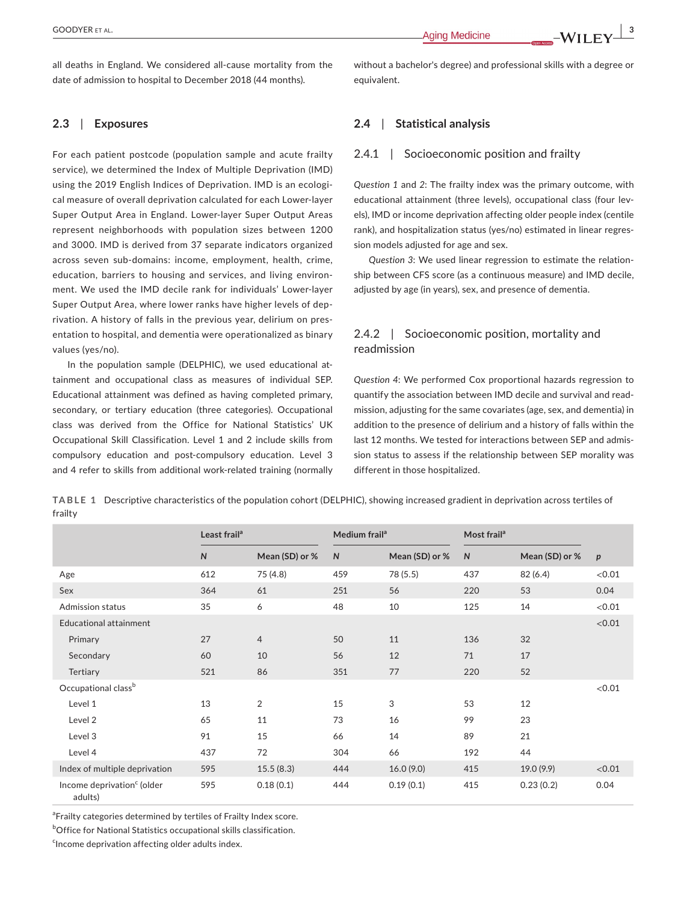all deaths in England. We considered all-cause mortality from the date of admission to hospital to December 2018 (44 months).

## **2.3**  | **Exposures**

For each patient postcode (population sample and acute frailty service), we determined the Index of Multiple Deprivation (IMD) using the 2019 English Indices of Deprivation. IMD is an ecological measure of overall deprivation calculated for each Lower-layer Super Output Area in England. Lower-layer Super Output Areas represent neighborhoods with population sizes between 1200 and 3000. IMD is derived from 37 separate indicators organized across seven sub-domains: income, employment, health, crime, education, barriers to housing and services, and living environment. We used the IMD decile rank for individuals' Lower-layer Super Output Area, where lower ranks have higher levels of deprivation. A history of falls in the previous year, delirium on presentation to hospital, and dementia were operationalized as binary values (yes/no).

In the population sample (DELPHIC), we used educational attainment and occupational class as measures of individual SEP. Educational attainment was defined as having completed primary, secondary, or tertiary education (three categories). Occupational class was derived from the Office for National Statistics' UK Occupational Skill Classification. Level 1 and 2 include skills from compulsory education and post-compulsory education. Level 3 and 4 refer to skills from additional work-related training (normally

without a bachelor's degree) and professional skills with a degree or equivalent.

## **2.4**  | **Statistical analysis**

## 2.4.1 | Socioeconomic position and frailty

*Question 1* and *2*: The frailty index was the primary outcome, with educational attainment (three levels), occupational class (four levels), IMD or income deprivation affecting older people index (centile rank), and hospitalization status (yes/no) estimated in linear regression models adjusted for age and sex.

*Question 3*: We used linear regression to estimate the relationship between CFS score (as a continuous measure) and IMD decile, adjusted by age (in years), sex, and presence of dementia.

## 2.4.2 | Socioeconomic position, mortality and readmission

*Question 4*: We performed Cox proportional hazards regression to quantify the association between IMD decile and survival and readmission, adjusting for the same covariates (age, sex, and dementia) in addition to the presence of delirium and a history of falls within the last 12 months. We tested for interactions between SEP and admission status to assess if the relationship between SEP morality was different in those hospitalized.

**TABLE 1** Descriptive characteristics of the population cohort (DELPHIC), showing increased gradient in deprivation across tertiles of frailty

|                                                   | Least frail <sup>a</sup> |                | Medium frail <sup>a</sup> |                | Most frail <sup>a</sup> |                |                  |
|---------------------------------------------------|--------------------------|----------------|---------------------------|----------------|-------------------------|----------------|------------------|
|                                                   | $\mathsf{N}$             | Mean (SD) or % | $\mathsf{N}$              | Mean (SD) or % | $\mathsf{N}$            | Mean (SD) or % | $\boldsymbol{p}$ |
| Age                                               | 612                      | 75 (4.8)       | 459                       | 78 (5.5)       | 437                     | 82 (6.4)       | < 0.01           |
| Sex                                               | 364                      | 61             | 251                       | 56             | 220                     | 53             | 0.04             |
| Admission status                                  | 35                       | 6              | 48                        | 10             | 125                     | 14             | < 0.01           |
| Educational attainment                            |                          |                |                           |                |                         |                | < 0.01           |
| Primary                                           | 27                       | 4              | 50                        | 11             | 136                     | 32             |                  |
| Secondary                                         | 60                       | 10             | 56                        | 12             | 71                      | 17             |                  |
| Tertiary                                          | 521                      | 86             | 351                       | 77             | 220                     | 52             |                  |
| Occupational class <sup>b</sup>                   |                          |                |                           |                |                         |                | < 0.01           |
| Level 1                                           | 13                       | 2              | 15                        | 3              | 53                      | 12             |                  |
| Level 2                                           | 65                       | 11             | 73                        | 16             | 99                      | 23             |                  |
| Level 3                                           | 91                       | 15             | 66                        | 14             | 89                      | 21             |                  |
| Level 4                                           | 437                      | 72             | 304                       | 66             | 192                     | 44             |                  |
| Index of multiple deprivation                     | 595                      | 15.5(8.3)      | 444                       | 16.0(9.0)      | 415                     | 19.0(9.9)      | < 0.01           |
| Income deprivation <sup>c</sup> (older<br>adults) | 595                      | 0.18(0.1)      | 444                       | 0.19(0.1)      | 415                     | 0.23(0.2)      | 0.04             |

<sup>a</sup>Frailty categories determined by tertiles of Frailty Index score.

**bOffice for National Statistics occupational skills classification.** 

<sup>c</sup>Income deprivation affecting older adults index.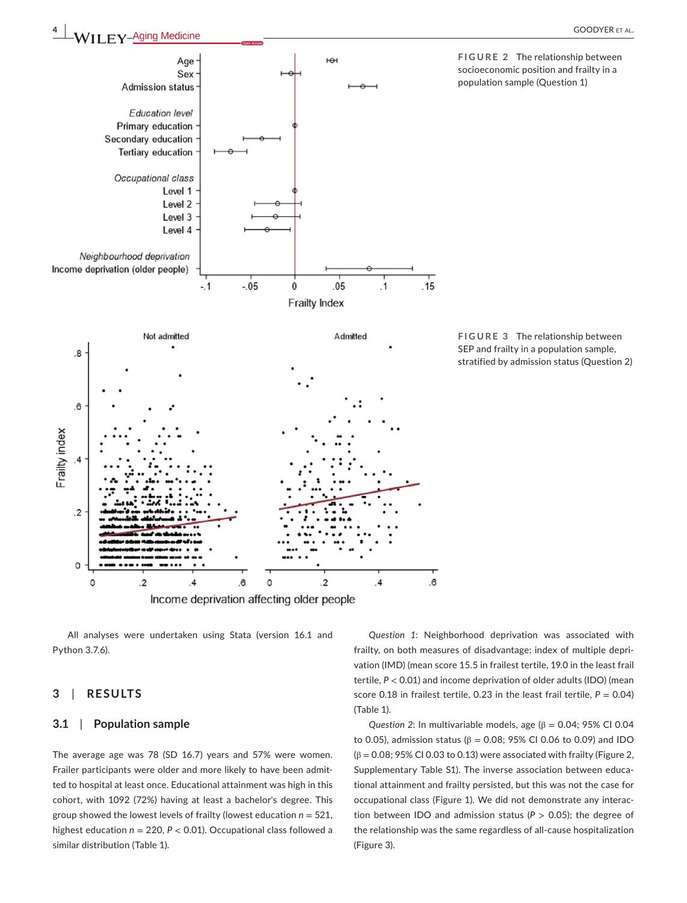Age





 $H<sup>2</sup>$ 



All analyses were undertaken using Stata (version 16.1 and Python 3.7.6).

# **3**  | **RESULTS**

## **3.1**  | **Population sample**

The average age was 78 (SD 16.7) years and 57% were women. Frailer participants were older and more likely to have been admitted to hospital at least once. Educational attainment was high in this cohort, with 1092 (72%) having at least a bachelor's degree. This group showed the lowest levels of frailty (lowest education *n* = 521, highest education *n* = 220, *P* < 0.01). Occupational class followed a similar distribution (Table 1).

*Question 1*: Neighborhood deprivation was associated with frailty, on both measures of disadvantage: index of multiple deprivation (IMD) (mean score 15.5 in frailest tertile, 19.0 in the least frail tertile, *P* < 0.01) and income deprivation of older adults (IDO) (mean score 0.18 in frailest tertile, 0.23 in the least frail tertile,  $P = 0.04$ ) (Table 1).

*Question 2*: In multivariable models, age  $(β = 0.04; 95% C1 0.04)$ to 0.05), admission status ( $β = 0.08$ ; 95% CI 0.06 to 0.09) and IDO  $(\beta = 0.08; 95\% \text{ Cl } 0.03 \text{ to } 0.13)$  were associated with frailty (Figure 2, Supplementary Table S1). The inverse association between educational attainment and frailty persisted, but this was not the case for occupational class (Figure 1). We did not demonstrate any interaction between IDO and admission status (*P* > 0.05); the degree of the relationship was the same regardless of all-cause hospitalization (Figure 3).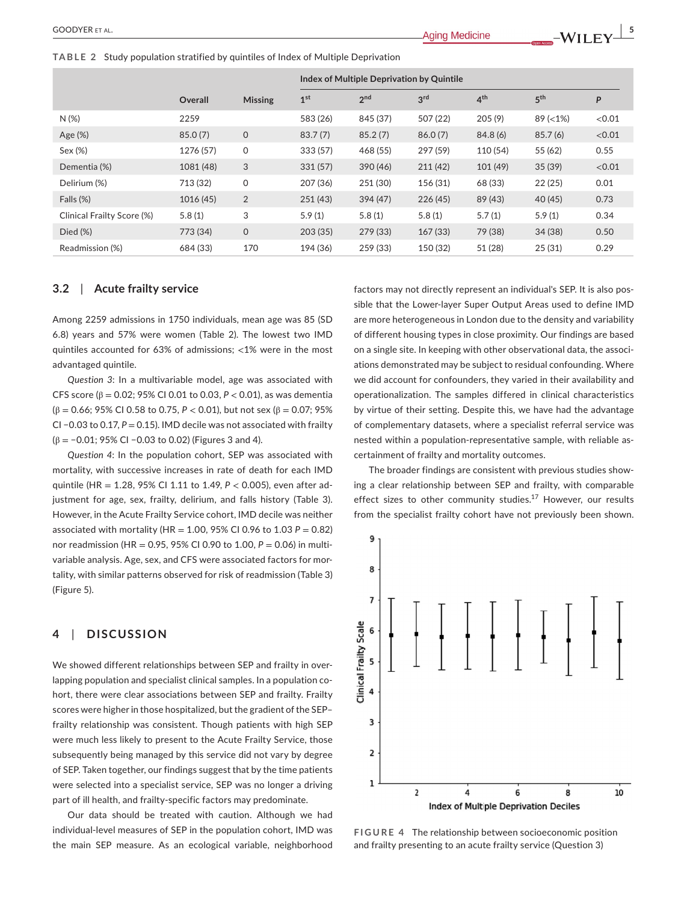**TABLE 2** Study population stratified by quintiles of Index of Multiple Deprivation

|                            |           |                | Index of Multiple Deprivation by Quintile |                 |                 |                 |                 |        |  |
|----------------------------|-----------|----------------|-------------------------------------------|-----------------|-----------------|-----------------|-----------------|--------|--|
|                            | Overall   | <b>Missing</b> | 1 <sup>st</sup>                           | 2 <sup>nd</sup> | 3 <sup>rd</sup> | 4 <sup>th</sup> | 5 <sup>th</sup> | P      |  |
| N(%)                       | 2259      |                | 583 (26)                                  | 845 (37)        | 507 (22)        | 205(9)          | $89 (< 1\%)$    | < 0.01 |  |
| Age $(\%)$                 | 85.0(7)   | 0              | 83.7(7)                                   | 85.2(7)         | 86.0(7)         | 84.8(6)         | 85.7(6)         | < 0.01 |  |
| Sex (%)                    | 1276 (57) | 0              | 333 (57)                                  | 468 (55)        | 297 (59)        | 110 (54)        | 55 (62)         | 0.55   |  |
| Dementia (%)               | 1081 (48) | 3              | 331(57)                                   | 390 (46)        | 211(42)         | 101(49)         | 35(39)          | < 0.01 |  |
| Delirium (%)               | 713 (32)  | 0              | 207 (36)                                  | 251 (30)        | 156 (31)        | 68 (33)         | 22(25)          | 0.01   |  |
| Falls (%)                  | 1016 (45) | 2              | 251(43)                                   | 394 (47)        | 226(45)         | 89 (43)         | 40(45)          | 0.73   |  |
| Clinical Frailty Score (%) | 5.8(1)    | 3              | 5.9(1)                                    | 5.8(1)          | 5.8(1)          | 5.7(1)          | 5.9(1)          | 0.34   |  |
| $Died (\%)$                | 773 (34)  | 0              | 203(35)                                   | 279 (33)        | 167(33)         | 79 (38)         | 34(38)          | 0.50   |  |
| Readmission (%)            | 684 (33)  | 170            | 194 (36)                                  | 259 (33)        | 150 (32)        | 51 (28)         | 25(31)          | 0.29   |  |

## **3.2**  | **Acute frailty service**

Among 2259 admissions in 1750 individuals, mean age was 85 (SD 6.8) years and 57% were women (Table 2). The lowest two IMD quintiles accounted for 63% of admissions; <1% were in the most advantaged quintile.

*Question 3*: In a multivariable model, age was associated with CFS score (β = 0.02; 95% CI 0.01 to 0.03, *P* < 0.01), as was dementia (β = 0.66; 95% CI 0.58 to 0.75, *P* < 0.01), but not sex (β = 0.07; 95% CI −0.03 to 0.17, *P* = 0.15). IMD decile was not associated with frailty (β = −0.01; 95% CI −0.03 to 0.02) (Figures 3 and 4).

*Question 4*: In the population cohort, SEP was associated with mortality, with successive increases in rate of death for each IMD quintile (HR = 1.28, 95% CI 1.11 to 1.49, *P* < 0.005), even after adjustment for age, sex, frailty, delirium, and falls history (Table 3). However, in the Acute Frailty Service cohort, IMD decile was neither associated with mortality (HR =  $1.00$ , 95% CI 0.96 to  $1.03$  P = 0.82) nor readmission (HR = 0.95, 95% CI 0.90 to 1.00, *P* = 0.06) in multivariable analysis. Age, sex, and CFS were associated factors for mortality, with similar patterns observed for risk of readmission (Table 3) (Figure 5).

## **4**  | **DISCUSSION**

We showed different relationships between SEP and frailty in overlapping population and specialist clinical samples. In a population cohort, there were clear associations between SEP and frailty. Frailty scores were higher in those hospitalized, but the gradient of the SEP– frailty relationship was consistent. Though patients with high SEP were much less likely to present to the Acute Frailty Service, those subsequently being managed by this service did not vary by degree of SEP. Taken together, our findings suggest that by the time patients were selected into a specialist service, SEP was no longer a driving part of ill health, and frailty-specific factors may predominate.

Our data should be treated with caution. Although we had individual-level measures of SEP in the population cohort, IMD was the main SEP measure. As an ecological variable, neighborhood

factors may not directly represent an individual's SEP. It is also possible that the Lower-layer Super Output Areas used to define IMD are more heterogeneous in London due to the density and variability of different housing types in close proximity. Our findings are based on a single site. In keeping with other observational data, the associations demonstrated may be subject to residual confounding. Where we did account for confounders, they varied in their availability and operationalization. The samples differed in clinical characteristics by virtue of their setting. Despite this, we have had the advantage of complementary datasets, where a specialist referral service was nested within a population-representative sample, with reliable ascertainment of frailty and mortality outcomes.

The broader findings are consistent with previous studies showing a clear relationship between SEP and frailty, with comparable effect sizes to other community studies.<sup>17</sup> However, our results from the specialist frailty cohort have not previously been shown.



**FIGURE 4** The relationship between socioeconomic position and frailty presenting to an acute frailty service (Question 3)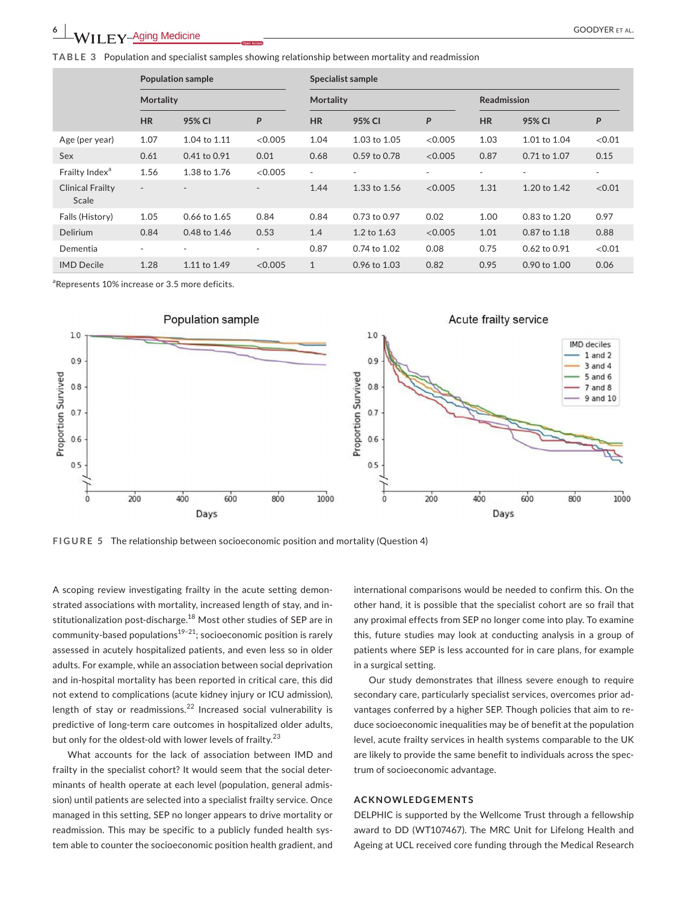**TABLE 3** Population and specialist samples showing relationship between mortality and readmission

|                                  | <b>Population sample</b><br><b>Mortality</b> |              |                              | Specialist sample |                  |         |                    |                  |                          |  |
|----------------------------------|----------------------------------------------|--------------|------------------------------|-------------------|------------------|---------|--------------------|------------------|--------------------------|--|
|                                  |                                              |              |                              | <b>Mortality</b>  |                  |         | <b>Readmission</b> |                  |                          |  |
|                                  | <b>HR</b>                                    | 95% CI       | P                            | <b>HR</b>         | 95% CI           | P       | <b>HR</b>          | 95% CI           | P                        |  |
| Age (per year)                   | 1.07                                         | 1.04 to 1.11 | <0.005                       | 1.04              | 1.03 to 1.05     | < 0.005 | 1.03               | 1.01 to 1.04     | < 0.01                   |  |
| Sex                              | 0.61                                         | 0.41 to 0.91 | 0.01                         | 0.68              | $0.59$ to $0.78$ | < 0.005 | 0.87               | 0.71 to 1.07     | 0.15                     |  |
| Frailty Index <sup>a</sup>       | 1.56                                         | 1.38 to 1.76 | < 0.005                      | ٠                 | ٠                | ٠       | ٠                  | ٠                | $\overline{\phantom{a}}$ |  |
| <b>Clinical Frailty</b><br>Scale | $\blacksquare$                               |              | $\qquad \qquad \blacksquare$ | 1.44              | 1.33 to 1.56     | < 0.005 | 1.31               | 1.20 to 1.42     | < 0.01                   |  |
| Falls (History)                  | 1.05                                         | 0.66 to 1.65 | 0.84                         | 0.84              | 0.73 to 0.97     | 0.02    | 1.00               | 0.83 to 1.20     | 0.97                     |  |
| Delirium                         | 0.84                                         | 0.48 to 1.46 | 0.53                         | 1.4               | 1.2 to 1.63      | < 0.005 | 1.01               | 0.87 to 1.18     | 0.88                     |  |
| Dementia                         | $\overline{\phantom{a}}$                     | ۰            | $\overline{\phantom{a}}$     | 0.87              | 0.74 to 1.02     | 0.08    | 0.75               | $0.62$ to $0.91$ | < 0.01                   |  |
| <b>IMD</b> Decile                | 1.28                                         | 1.11 to 1.49 | <0.005                       | $\mathbf{1}$      | 0.96 to 1.03     | 0.82    | 0.95               | 0.90 to 1.00     | 0.06                     |  |

a Represents 10% increase or 3.5 more deficits.



**FIGURE 5** The relationship between socioeconomic position and mortality (Question 4)

A scoping review investigating frailty in the acute setting demonstrated associations with mortality, increased length of stay, and institutionalization post-discharge.<sup>18</sup> Most other studies of SEP are in community-based populations $19-21$ ; socioeconomic position is rarely assessed in acutely hospitalized patients, and even less so in older adults. For example, while an association between social deprivation and in-hospital mortality has been reported in critical care, this did not extend to complications (acute kidney injury or ICU admission), length of stay or readmissions. $^{22}$  Increased social vulnerability is predictive of long-term care outcomes in hospitalized older adults, but only for the oldest-old with lower levels of frailty.<sup>23</sup>

What accounts for the lack of association between IMD and frailty in the specialist cohort? It would seem that the social determinants of health operate at each level (population, general admission) until patients are selected into a specialist frailty service. Once managed in this setting, SEP no longer appears to drive mortality or readmission. This may be specific to a publicly funded health system able to counter the socioeconomic position health gradient, and

international comparisons would be needed to confirm this. On the other hand, it is possible that the specialist cohort are so frail that any proximal effects from SEP no longer come into play. To examine this, future studies may look at conducting analysis in a group of patients where SEP is less accounted for in care plans, for example in a surgical setting.

Our study demonstrates that illness severe enough to require secondary care, particularly specialist services, overcomes prior advantages conferred by a higher SEP. Though policies that aim to reduce socioeconomic inequalities may be of benefit at the population level, acute frailty services in health systems comparable to the UK are likely to provide the same benefit to individuals across the spectrum of socioeconomic advantage.

#### **ACKNOWLEDGEMENTS**

DELPHIC is supported by the Wellcome Trust through a fellowship award to DD (WT107467). The MRC Unit for Lifelong Health and Ageing at UCL received core funding through the Medical Research